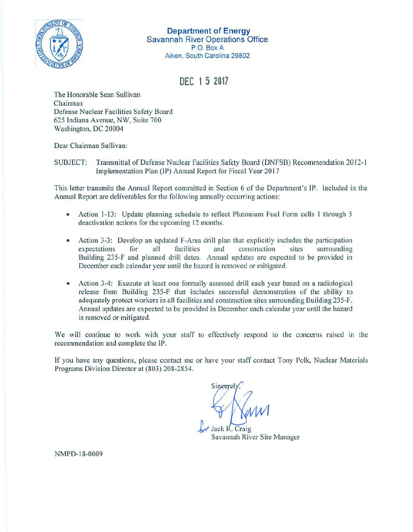

**Department of Energy**  Savannah River Operations Office P.O. **Box A**  Aiken, South Carolina 29802

**DEC 1 5 2017** 

The Honorable Sean Sullivan Chairman Defense Nuclear Facilities Safety Board 625 lndiana Avenue, NW, Suite 700 Washington, DC 20004

Dear Chairman Sullivan:

SUBJECT: Transmittal of Defense Nuclear Facilities Safety Board (DNFSB) Recommendation 20 12-1 Implementation Plan (IP) Annual Report for Fiscal Year 2017

This letter transmits the Annual Report committed in Section 6 of the Department's IP. Included in the Annual Report are deliverables for the following annually occurring actions:

- Action 1-13: Update planning schedule to reflect Plutonium Fuel Form cells 1 through 5 deactivation actions for the upcoming 12 months.
- Action 3-3: Develop an updated F-Area drill plan that explicitly includes the participation expectations for all facilities and construction sites surrounding expectations for all facilities and construction sites Building 235-F and planned drill dates. Annual updates are expected to be provided in December each calendar year until the hazard is removed or mitigated.
- Action 3-4: Execute at least one formally assessed drill each year based on a radiological release from Building 235-F that includes successful demonstration of the ability to adequately protect workers in all facilities and construction sites surrounding Building 235-F. Annual updates are expected to be provided in December each calendar year until the hazard is removed or mitigated.

We will continue to work with your staff to effectively respond to the concerns raised in the recommendation and complete the IP.

If you have any questions, please contact me or have your staff contact Tony Polk, Nuclear Materials Programs Division Director at (803) 208-2854.

Sineerel

ack R. Craig Savannah River Site Manager

NMPD-18-0009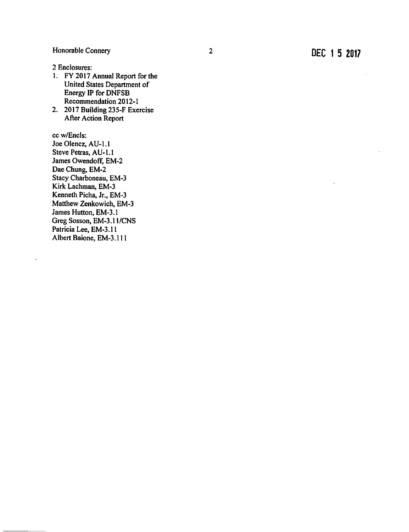2 Enclosures:

- I. FY 2017 Annual Report for the United States Department of Energy IP for DNFSB Recommendation 2012-1
- 2. 2017 Building 235-F Exercise After Action Report

cc w/Encls: Joe Olencz, AU-1.1 Steve Petras, AU-1.1 James Owendoff, EM-2 James Hutton, EM-3.1 Greg Sosson, EM-3.11/CNS Patricia Lee, EM-3.11 Albert Baione, EM-3.111 Dae Chung, EM-2 Stacy Charboneau, EM-3 Kirk Lachman, EM-3 Kenneth Picha, Jr., EM-3 Matthew Zenkowich, EM-3

 $\ddot{\phantom{0}}$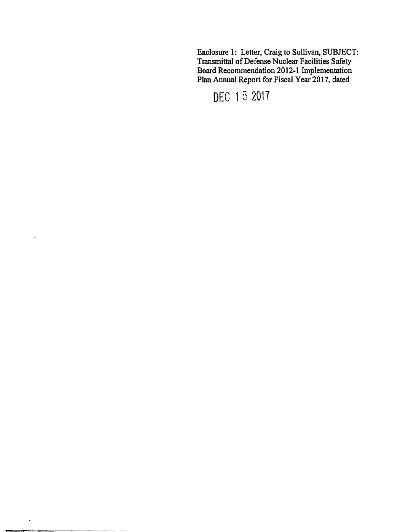Enclosure 1: Letter, Craig to Sullivan. SUBJECT: Transmittal of Defense Nuclear Facilities Safety Board Recommendation 2012-1 Implementation Plan Annual Report for Fiscal Year 2017, dated

DEC 15 2017

 $\ddot{\phantom{a}}$ 

 $\ddot{\phantom{a}}$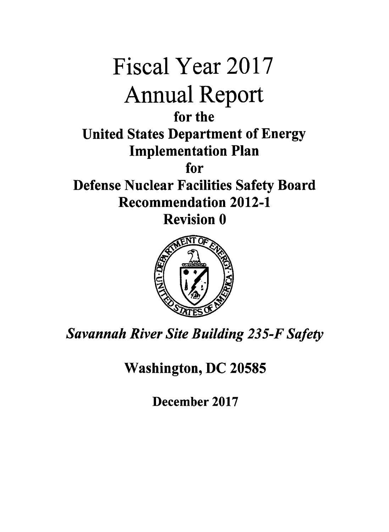

*Savannah River Site Building 235-F Safety* 

Washington, DC 20585

December 2017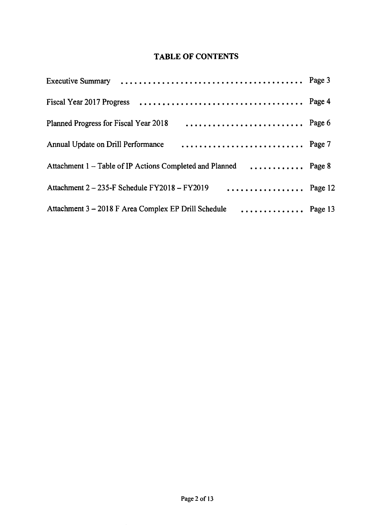# **TABLE OF CONTENTS**

| Page 6<br>Planned Progress for Fiscal Year 2018                  |  |
|------------------------------------------------------------------|--|
| Page 7<br>Annual Update on Drill Performance                     |  |
| Attachment 1 - Table of IP Actions Completed and Planned  Page 8 |  |
| Attachment $2 - 235$ -F Schedule FY2018 – FY2019  Page 12        |  |
| Attachment 3 - 2018 F Area Complex EP Drill Schedule  Page 13    |  |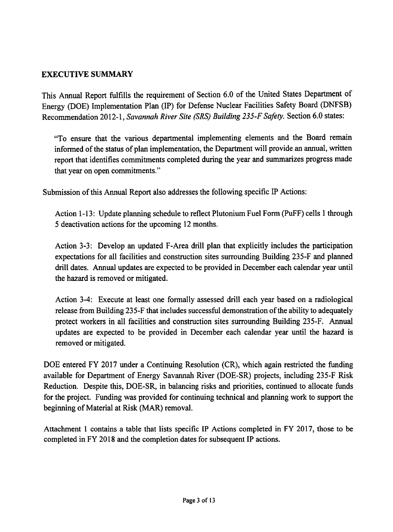# **EXECUTIVE SUMMARY**

This Annual Report fulfills the requirement of Section 6.0 of the United States Department of Energy (DOE) Implementation Plan (IP) for Defense Nuclear Facilities Safety Board (DNFSB) Recommendation 2012-1, *Savannah River Site (SRS) Building 235-F Safety.* Section 6.0 states:

"To ensure that the various departmental implementing elements and the Board remain informed of the status of plan implementation, the Department will provide an annual, written report that identifies commitments completed during the year and summarizes progress made that year on open commitments."

Submission of this Annual Report also addresses the following specific IP Actions:

Action 1-13: Update planning schedule to reflect Plutonium Fuel Form (PuFF) cells 1 through 5 deactivation actions for the upcoming 12 months.

Action 3-3: Develop an updated F-Area drill plan that explicitly includes the participation expectations for all facilities and construction sites surrounding Building 235-F and planned drill dates. Annual updates are expected to be provided in December each calendar year until the hazard is removed or mitigated.

Action 3-4: Execute at least one formally assessed drill each year based on a radiological release from Building 235-F that includes successful demonstration of the ability to adequately protect workers in all facilities and construction sites surrounding Building 235-F. Annual updates are expected to be provided in December each calendar year until the hazard is removed or mitigated.

DOE entered FY 2017 under a Continuing Resolution (CR), which again restricted the funding available for Department of Energy Savannah River (DOE-SR) projects, including 235-F Risk Reduction. Despite this, DOE-SR, in balancing risks and priorities, continued to allocate funds for the project. Funding was provided for continuing technical and planning work to support the beginning of Material at Risk (MAR) removal.

Attachment 1 contains a table that lists specific IP Actions completed in FY 2017, those to be completed in FY 2018 and the completion dates for subsequent IP actions.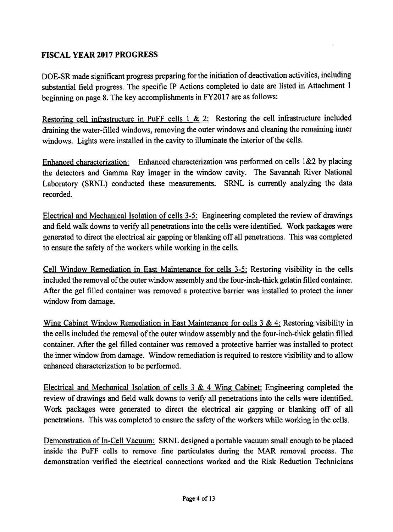# **FISCAL YEAR 2017 PROGRESS**

DOE-SR made significant progress preparing for the initiation of deactivation activities, including substantial field progress. The specific IP Actions completed to date are listed in Attachment 1 beginning on page 8. The key accomplishments in FY2017 are as follows:

Restoring cell infrastructure in PuFF cells  $1 \& 2$ : Restoring the cell infrastructure included draining the water-filled windows, removing the outer windows and cleaning the remaining inner windows. Lights were installed in the cavity to illuminate the interior of the cells.

Enhanced characterization: Enhanced characterization was performed on cells  $1&2$  by placing the detectors and Gamma Ray Imager in the window cavity. The Savannah River National Laboratory (SRNL) conducted these measurements. SRNL is currently analyzing the data recorded.

Electrical and Mechanical Isolation of cells 3-5: Engineering completed the review of drawings and field walk downs to verify all penetrations into the cells were identified. Work packages were generated to direct the electrical air gapping or blanking off all penetrations. This was completed to ensure the safety of the workers while working in the cells.

Cell Window Remediation in East Maintenance for cells 3-5: Restoring visibility in the cells included the removal ofthe outer window assembly and the four-inch-thick gelatin filled container. After the gel filled container was removed a protective barrier was installed to protect the inner window from damage.

Wing Cabinet Window Remediation in East Maintenance for cells 3 & 4: Restoring visibility in the cells included the removal of the outer window assembly and the four-inch-thick gelatin filled container. After the gel filled container was removed a protective barrier was installed to protect the inner window from damage. Window remediation is required to restore visibility and to allow enhanced characterization to be performed.

Electrical and Mechanical Isolation of cells 3 & 4 Wing Cabinet: Engineering completed the review of drawings and field walk downs to verify all penetrations into the cells were identified. Work packages were generated to direct the electrical air gapping or blanking off of all penetrations. This was completed to ensure the safety of the workers while working in the cells.

Demonstration of In-Cell Vacuum: SRNL designed a portable vacuum small enough to be placed inside the PuFF cells to remove fine particulates during the MAR removal process. The demonstration verified the electrical connections worked and the Risk Reduction Technicians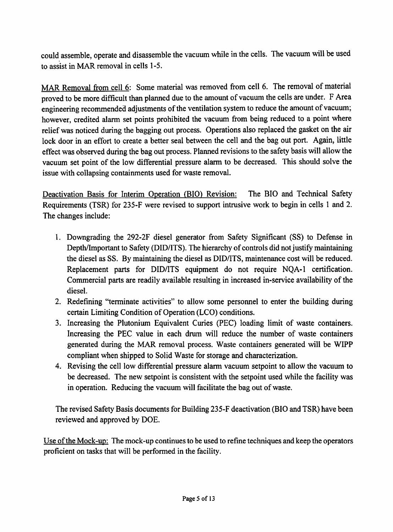could assemble, operate and disassemble the vacuum while in the cells. The vacuum will be used to assist in MAR removal in cells 1-5.

MAR Removal from cell 6: Some material was removed from cell 6. The removal of material proved to be more difficult than planned due to the amount of vacuum the cells are under. F Area engineering recommended adjustments of the ventilation system to reduce the amount of vacuum; however, credited alarm set points prohibited the vacuum from being reduced to a point where relief was noticed during the bagging out process. Operations also replaced the gasket on the air lock door in an effort to create a better seal between the cell and the bag out port. Again, little effect was observed during the bag out process. Planned revisions to the safety basis will allow the vacuum set point of the low differential pressure alarm to be decreased. This should solve the issue with collapsing containments used for waste removal.

Deactivation Basis for Interim Operation {BIO) Revision: The BIO and Technical Safety Requirements (TSR) for 235-F were revised to support intrusive work to begin in cells 1 and 2. The changes include:

- 1. Downgrading the 292-2F diesel generator from Safety Significant (SS) to Defense in Depth/Important to Safety (DID/ITS). The hierarchy of controls did not justify maintaining the diesel as SS. By maintaining the diesel as DID/ITS, maintenance cost will be reduced. Replacement parts for DID/ITS equipment do not require NQA-1 certification. Commercial parts are readily available resulting in increased in-service availability of the diesel.
- 2. Redefining "terminate activities" to allow some personnel to enter the building during certain Limiting Condition of Operation (LCO) conditions.
- 3. Increasing the Plutonium Equivalent Curies (PEC) loading limit of waste containers. Increasing the PEC value in each drum will reduce the number of waste containers generated during the MAR removal process. Waste containers generated will be WIPP compliant when shipped to Solid Waste for storage and characterization.
- 4. Revising the cell low differential pressure alarm vacuum setpoint to allow the vacuum to be decreased. The new setpoint is consistent with the setpoint used while the facility was in operation. Reducing the vacuum will facilitate the bag out of waste.

The revised Safety Basis documents for Building 235-F deactivation (BIO and TSR) have been reviewed and approved by DOE.

Use of the Mock-up: The mock-up continues to be used to refine techniques and keep the operators proficient on tasks that will be performed in the facility.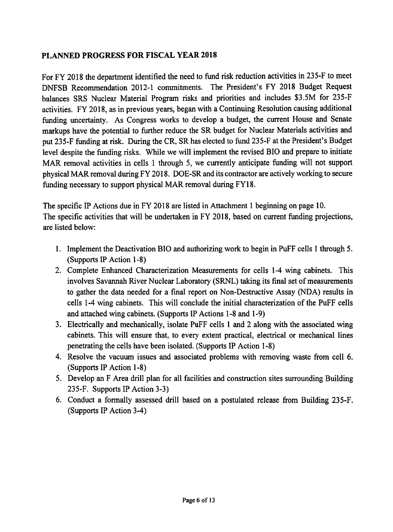# **PLANNED PROGRESS FOR FISCAL YEAR 2018**

For FY 2018 the department identified the need to fund risk reduction activities in 235-F to meet DNFSB Recommendation 2012-1 commitments. The President's FY 2018 Budget Request balances SRS Nuclear Material Program risks and priorities and includes \$3.5M for 235-F activities. FY 2018, as in previous years, began with a Continuing Resolution causing additional funding uncertainty. As Congress works to develop a budget, the current House and Senate markups have the potential to further reduce the SR budget for Nuclear Materials activities and put 235-F funding at risk. During the CR, SR has elected to fund 235-F at the President's Budget level despite the funding risks. While we will implement the revised BIO and prepare to initiate MAR removal activities in cells 1 through 5, we currently anticipate funding will not support physical MAR removal during FY 2018. DOE-SR and its contractor are actively working to secure funding necessary to support physical MAR removal during FY18.

The specific IP Actions due in FY 2018 are listed in Attachment 1 beginning on page 10. The specific activities that will be undertaken in FY 2018, based on current funding projections, are listed below:

- 1. Implement the Deactivation BIO and authorizing work to begin in Puff cells 1 through 5. (Supports IP Action 1-8)
- 2. Complete Enhanced Characterization Measurements for cells 1-4 wing cabinets. This involves Savannah River Nuclear Laboratory (SRNL) taking its final set of measurements to gather the data needed for a final report on Non-Destructive Assay (NOA) results in cells 1-4 wing cabinets. This will conclude the initial characterization of the PuFF cells and attached wing cabinets. (Supports IP Actions 1-8 and 1-9)
- 3. Electrically and mechanically, isolate PuFF cells 1 and 2 along with the associated wing cabinets. This will ensure that, to every extent practical, electrical or mechanical lines penetrating the cells have been isolated. (Supports IP Action 1-8)
- 4. Resolve the vacuum issues and associated problems with removing waste from cell 6. (Supports IP Action 1-8)
- 5. Develop an F Area drill plan for all facilities and construction sites surrounding Building 235-F. Supports IP Action 3-3)
- 6. Conduct a formally assessed drill based on a postulated release from Building 235-F. (Supports IP Action 3-4)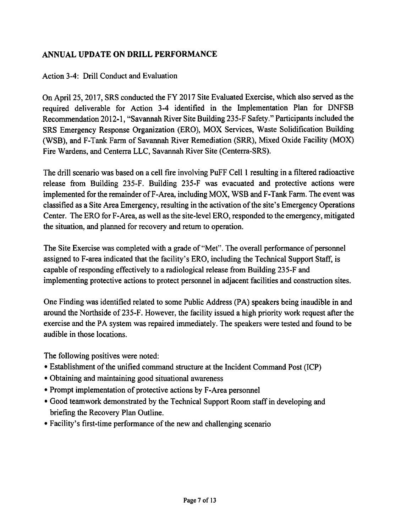# **ANNUAL UPDATE ON DRILL PERFORMANCE**

# Action 3-4: Drill Conduct and Evaluation

On April 25, 2017, SRS conducted the FY 2017 Site Evaluated Exercise, which also served as the required deliverable for Action 3-4 identified in the Implementation Plan for DNFSB Recommendation 2012-1, "Savannah River Site Building 235-F Safety." Participants included the SRS Emergency Response Organization (ERO), MOX Services, Waste Solidification Building (WSB), and F-Tank Farm of Savannah River Remediation (SRR), Mixed Oxide Facility (MOX) Fire Wardens, and Centerra LLC, Savannah River Site (Centerra-SRS).

The drill scenario was based on a cell fire involving PuFF Cell 1 resulting in a filtered radioactive release from Building 235-F. Building 235-F was evacuated and protective actions were implemented for the remainder of F-Area, including MOX, WSB and F-Tank Farm. The event was classified as a Site Area Emergency, resulting in the activation of the site's Emergency Operations Center. The ERO for F-Area, as well as the site-level ERO, responded to the emergency, mitigated the situation, and planned for recovery and return to operation.

The Site Exercise was completed with a grade of "Met". The overall performance of personnel assigned to F-area indicated that the facility's ERO, including the Technical Support Staff, is capable of responding effectively to a radiological release from Building 235-F and implementing protective actions to protect personnel in adjacent facilities and construction sites.

One Finding was identified related to some Public Address (PA) speakers being inaudible in and around the Northside of235-F. However, the facility issued a high priority work request after the exercise and the PA system was repaired immediately. The speakers were tested and found to be audible in those locations.

The following positives were noted:

- Establishment of the unified command structure at the Incident Command Post (ICP)
- Obtaining and maintaining good situational awareness
- Prompt implementation of protective actions by F-Area personnel
- Good teamwork demonstrated by the Technical Support Room staff in developing and briefing the Recovery Plan Outline.
- Facility's first-time performance of the new and challenging scenario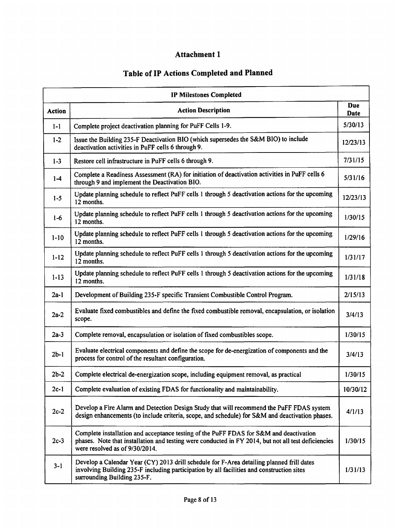# Attachment 1

# Table of IP Actions Completed and Planned

| <b>IP Milestones Completed</b> |                                                                                                                                                                                                                                 |                    |  |  |  |  |  |  |
|--------------------------------|---------------------------------------------------------------------------------------------------------------------------------------------------------------------------------------------------------------------------------|--------------------|--|--|--|--|--|--|
| Action                         | <b>Action Description</b>                                                                                                                                                                                                       | <b>Due</b><br>Date |  |  |  |  |  |  |
| $1-1$                          | Complete project deactivation planning for PuFF Cells 1-9.                                                                                                                                                                      | 5/30/13            |  |  |  |  |  |  |
| $1-2$                          | Issue the Building 235-F Deactivation BIO (which supersedes the S&M BIO) to include<br>deactivation activities in PuFF cells 6 through 9.                                                                                       | 12/23/13           |  |  |  |  |  |  |
| $1-3$                          | Restore cell infrastructure in PuFF cells 6 through 9.                                                                                                                                                                          | 7/31/15            |  |  |  |  |  |  |
| $1-4$                          | Complete a Readiness Assessment (RA) for initiation of deactivation activities in PuFF cells 6<br>through 9 and implement the Deactivation BIO.                                                                                 | 5/31/16            |  |  |  |  |  |  |
| $1 - 5$                        | Update planning schedule to reflect PuFF cells 1 through 5 deactivation actions for the upcoming<br>12 months.                                                                                                                  | 12/23/13           |  |  |  |  |  |  |
| $1-6$                          | Update planning schedule to reflect PuFF cells 1 through 5 deactivation actions for the upcoming<br>12 months.                                                                                                                  | 1/30/15            |  |  |  |  |  |  |
| $1 - 10$                       | Update planning schedule to reflect PuFF cells 1 through 5 deactivation actions for the upcoming<br>12 months.                                                                                                                  | 1/29/16            |  |  |  |  |  |  |
| $1 - 12$                       | Update planning schedule to reflect PuFF cells 1 through 5 deactivation actions for the upcoming<br>12 months.                                                                                                                  | 1/31/17            |  |  |  |  |  |  |
| $1 - 13$                       | Update planning schedule to reflect PuFF cells 1 through 5 deactivation actions for the upcoming<br>12 months.                                                                                                                  | 1/31/18            |  |  |  |  |  |  |
| $2a-1$                         | Development of Building 235-F specific Transient Combustible Control Program.                                                                                                                                                   | 2/15/13            |  |  |  |  |  |  |
| $2a-2$                         | Evaluate fixed combustibles and define the fixed combustible removal, encapsulation, or isolation<br>scope.                                                                                                                     | 3/4/13             |  |  |  |  |  |  |
| $2a-3$                         | Complete removal, encapsulation or isolation of fixed combustibles scope.                                                                                                                                                       | 1/30/15            |  |  |  |  |  |  |
| $2b-1$                         | Evaluate electrical components and define the scope for de-energization of components and the<br>process for control of the resultant configuration.                                                                            | 3/4/13             |  |  |  |  |  |  |
| $2b-2$                         | Complete electrical de-energization scope, including equipment removal, as practical                                                                                                                                            | 1/30/15            |  |  |  |  |  |  |
| $2c-1$                         | Complete evaluation of existing FDAS for functionality and maintainability.                                                                                                                                                     | 10/30/12           |  |  |  |  |  |  |
| $2c-2$                         | Develop a Fire Alarm and Detection Design Study that will recommend the PuFF FDAS system<br>design enhancements (to include criteria, scope, and schedule) for S&M and deactivation phases.                                     | 4/1/13             |  |  |  |  |  |  |
| $2c-3$                         | Complete installation and acceptance testing of the PuFF FDAS for S&M and deactivation<br>phases. Note that installation and testing were conducted in FY 2014, but not all test deficiencies<br>were resolved as of 9/30/2014. | 1/30/15            |  |  |  |  |  |  |
| $3 - 1$                        | Develop a Calendar Year (CY) 2013 drill schedule for F-Area detailing planned frill dates<br>involving Building 235-F including participation by all facilities and construction sites<br>surrounding Building 235-F.           | 1/31/13            |  |  |  |  |  |  |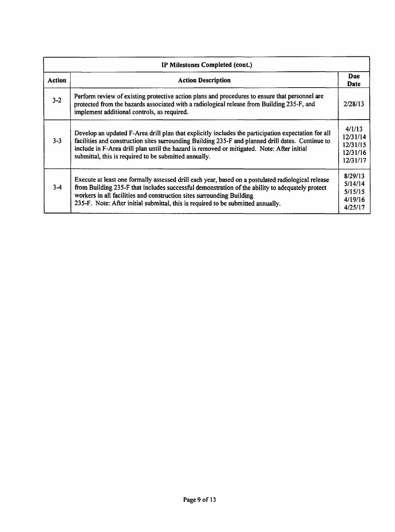|         | IP Milestones Completed (cont.)                                                                                                                                                                                                                                                                                                                                    |                                                        |  |  |  |  |  |  |  |
|---------|--------------------------------------------------------------------------------------------------------------------------------------------------------------------------------------------------------------------------------------------------------------------------------------------------------------------------------------------------------------------|--------------------------------------------------------|--|--|--|--|--|--|--|
| Action  | <b>Action Description</b>                                                                                                                                                                                                                                                                                                                                          |                                                        |  |  |  |  |  |  |  |
| $3 - 2$ | Perform review of existing protective action plans and procedures to ensure that personnel are<br>protected from the hazards associated with a radiological release from Building 235-F, and<br>implement additional controls, as required.                                                                                                                        | 2/28/13                                                |  |  |  |  |  |  |  |
| $3 - 3$ | Develop an updated F-Area drill plan that explicitly includes the participation expectation for all<br>facilities and construction sites surrounding Building 235-F and planned drill dates. Continue to<br>include in F-Area drill plan until the hazard is removed or mitigated. Note: After initial<br>submittal, this is required to be submitted annually.    | 4/1/13<br>12/31/14<br>12/31/15<br>12/31/16<br>12/31/17 |  |  |  |  |  |  |  |
| $3 - 4$ | Execute at least one formally assessed drill each year, based on a postulated radiological release<br>from Building 235-F that includes successful demonstration of the ability to adequately protect<br>workers in all facilities and construction sites surrounding Building<br>235-F. Note: After initial submittal, this is required to be submitted annually. | 8/29/13<br>5/14/14<br>5/15/15<br>4/19/16<br>4/25/17    |  |  |  |  |  |  |  |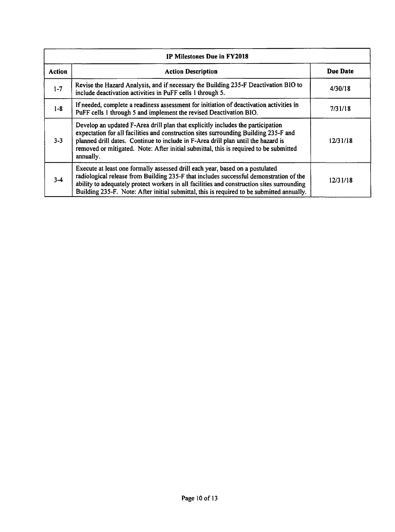| IP Milestones Due in FY2018 |                                                                                                                                                                                                                                                                                                                                                                    |          |  |  |  |  |  |
|-----------------------------|--------------------------------------------------------------------------------------------------------------------------------------------------------------------------------------------------------------------------------------------------------------------------------------------------------------------------------------------------------------------|----------|--|--|--|--|--|
| <b>Action</b>               | <b>Action Description</b>                                                                                                                                                                                                                                                                                                                                          | Due Date |  |  |  |  |  |
| $1 - 7$                     | Revise the Hazard Analysis, and if necessary the Building 235-F Deactivation BIO to<br>include deactivation activities in PuFF cells 1 through 5.                                                                                                                                                                                                                  | 4/30/18  |  |  |  |  |  |
| $1 - 8$                     | If needed, complete a readiness assessment for initiation of deactivation activities in<br>PuFF cells 1 through 5 and implement the revised Deactivation BIO.                                                                                                                                                                                                      | 7/31/18  |  |  |  |  |  |
| $3 - 3$                     | Develop an updated F-Area drill plan that explicitly includes the participation<br>expectation for all facilities and construction sites surrounding Building 235-F and<br>planned drill dates. Continue to include in F-Area drill plan until the hazard is<br>removed or mitigated. Note: After initial submittal, this is required to be submitted<br>annually. | 12/31/18 |  |  |  |  |  |
| $3 - 4$                     | Execute at least one formally assessed drill each year, based on a postulated<br>radiological release from Building 235-F that includes successful demonstration of the<br>ability to adequately protect workers in all facilities and construction sites surrounding<br>Building 235-F. Note: After initial submittal, this is required to be submitted annually. | 12/31/18 |  |  |  |  |  |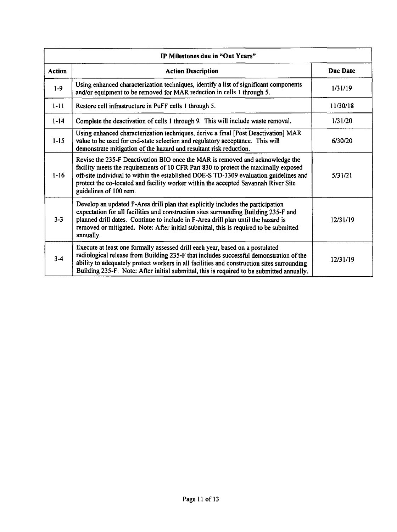| IP Milestones due in "Out Years" |                                                                                                                                                                                                                                                                                                                                                                               |                 |  |  |  |  |  |  |
|----------------------------------|-------------------------------------------------------------------------------------------------------------------------------------------------------------------------------------------------------------------------------------------------------------------------------------------------------------------------------------------------------------------------------|-----------------|--|--|--|--|--|--|
| <b>Action</b>                    | <b>Action Description</b>                                                                                                                                                                                                                                                                                                                                                     | <b>Due Date</b> |  |  |  |  |  |  |
| $1-9$                            | Using enhanced characterization techniques, identify a list of significant components<br>and/or equipment to be removed for MAR reduction in cells 1 through 5.                                                                                                                                                                                                               | 1/31/19         |  |  |  |  |  |  |
| $1 - 11$                         | Restore cell infrastructure in PuFF cells 1 through 5.                                                                                                                                                                                                                                                                                                                        | 11/30/18        |  |  |  |  |  |  |
| $1 - 14$                         | Complete the deactivation of cells 1 through 9. This will include waste removal.                                                                                                                                                                                                                                                                                              | 1/31/20         |  |  |  |  |  |  |
| $1 - 15$                         | Using enhanced characterization techniques, derive a final [Post Deactivation] MAR<br>value to be used for end-state selection and regulatory acceptance. This will<br>demonstrate mitigation of the hazard and resultant risk reduction.                                                                                                                                     | 6/30/20         |  |  |  |  |  |  |
| $1 - 16$                         | Revise the 235-F Deactivation BIO once the MAR is removed and acknowledge the<br>facility meets the requirements of 10 CFR Part 830 to protect the maximally exposed<br>off-site individual to within the established DOE-S TD-3309 evaluation guidelines and<br>protect the co-located and facility worker within the accepted Savannah River Site<br>guidelines of 100 rem. | 5/31/21         |  |  |  |  |  |  |
| $3 - 3$                          | Develop an updated F-Area drill plan that explicitly includes the participation<br>expectation for all facilities and construction sites surrounding Building 235-F and<br>planned drill dates. Continue to include in F-Area drill plan until the hazard is<br>removed or mitigated. Note: After initial submittal, this is required to be submitted<br>annually.            | 12/31/19        |  |  |  |  |  |  |
| $3 - 4$                          | Execute at least one formally assessed drill each year, based on a postulated<br>radiological release from Building 235-F that includes successful demonstration of the<br>ability to adequately protect workers in all facilities and construction sites surrounding<br>Building 235-F. Note: After initial submittal, this is required to be submitted annually.            | 12/31/19        |  |  |  |  |  |  |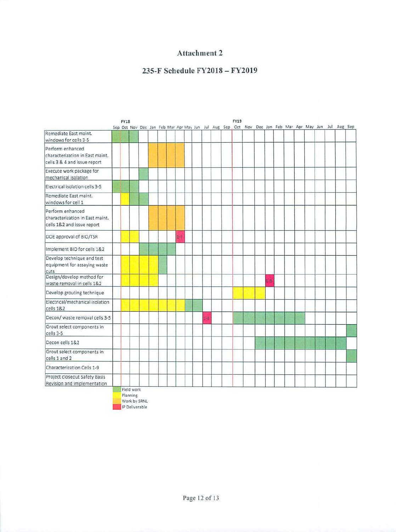# **Attachment 2**

## **235-F Schedule FY2018 - FY2019**

|                                                                                     | <b>FY18</b> |            |  |  |         |  |         |  | <b>FY19</b> |                                                                                                     |         |  |  |  |  |
|-------------------------------------------------------------------------------------|-------------|------------|--|--|---------|--|---------|--|-------------|-----------------------------------------------------------------------------------------------------|---------|--|--|--|--|
| Remediate East maint.                                                               |             |            |  |  |         |  |         |  |             | Sep Oct Nov Dec Jan Feb Mar Apr May Jun Jul Aug Sep Oct Nov Dec Jan Feb Mar Apr May Jun Jul Aug Sep |         |  |  |  |  |
| windows for cells 3-5                                                               |             |            |  |  |         |  |         |  |             |                                                                                                     |         |  |  |  |  |
| Perform enhanced<br>characterization in East maint.<br>cells 3 & 4 and issue report |             |            |  |  |         |  |         |  |             |                                                                                                     |         |  |  |  |  |
| Execute work package for<br>mechanical isolation                                    |             |            |  |  |         |  |         |  |             |                                                                                                     |         |  |  |  |  |
| Electrical isolation cells 3-5                                                      |             |            |  |  |         |  |         |  |             |                                                                                                     |         |  |  |  |  |
| Remediate East maint.<br>windows for cell 1                                         |             |            |  |  |         |  |         |  |             |                                                                                                     |         |  |  |  |  |
| Perform enhanced<br>characterization in East maint.<br>cells 1&2 and issue report   |             |            |  |  |         |  |         |  |             |                                                                                                     |         |  |  |  |  |
| DOE approval of BIO/TSR                                                             |             |            |  |  | $1 - 7$ |  |         |  |             |                                                                                                     |         |  |  |  |  |
| Implement BIO for cells 1&2                                                         |             |            |  |  |         |  |         |  |             |                                                                                                     |         |  |  |  |  |
| Develop technique and test<br>equipment for assaying waste<br>cuts                  |             |            |  |  |         |  |         |  |             |                                                                                                     |         |  |  |  |  |
| Design/develop method for<br>waste removal in cells 1&2                             |             |            |  |  |         |  |         |  |             |                                                                                                     | $1 - 9$ |  |  |  |  |
| Develop grouting technique                                                          |             |            |  |  |         |  |         |  |             |                                                                                                     |         |  |  |  |  |
| Electrical/mechanical isolation<br>cells 1&2                                        |             |            |  |  |         |  |         |  |             |                                                                                                     |         |  |  |  |  |
| Decon/ waste removal cells 3-5                                                      |             |            |  |  |         |  | $1 - 6$ |  |             |                                                                                                     |         |  |  |  |  |
| Grout select components in<br>cells 3-5                                             |             |            |  |  |         |  |         |  |             |                                                                                                     |         |  |  |  |  |
| Decon cells 1&2                                                                     |             |            |  |  |         |  |         |  |             |                                                                                                     |         |  |  |  |  |
| Grout select components in<br>cells 1 and 2                                         |             |            |  |  |         |  |         |  |             |                                                                                                     |         |  |  |  |  |
| Characterization Cells 1-9                                                          |             |            |  |  |         |  |         |  |             |                                                                                                     |         |  |  |  |  |
| Project closeout Safety Basis<br>Revision and implementation                        |             | Field work |  |  |         |  |         |  |             |                                                                                                     |         |  |  |  |  |

Planning Work by SRNL **IP Deliverable**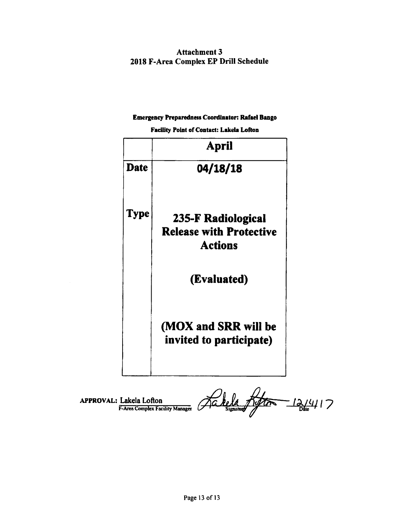Attachment 3 2018 F-Area Complex EP Drill Schedule

#### **Emergency Preparedness Coordlaator: Rafael Bango**

**Facility Point of Contact: Lakela Lofton** 

|             | April                                                                  |
|-------------|------------------------------------------------------------------------|
| <b>Date</b> | 04/18/18                                                               |
| Type        | 235-F Radiological<br><b>Release with Protective</b><br><b>Actions</b> |
|             | (Evaluated)                                                            |
|             | (MOX and SRR will be<br>invited to participate)                        |
|             |                                                                        |

APPROVAL: Lakela Lofton F-Area Complex Facility Manager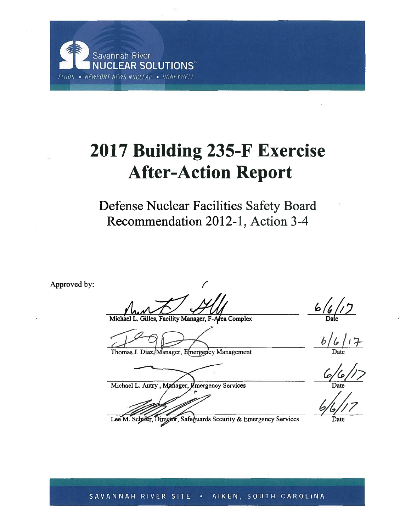

# 2017 Building 235-F Exercise **After-Action Report**

Defense Nuclear Facilities Safety Board Recommendation 2012-1, Action 3-4

Approved by:

ea Complex

Thomas J. Diaz, Manager, Emergency Management

Michael L. Autry, Manager, Emergency Services

 $rac{6}{2}$ 

 $6/6/17$ 

 $\frac{6}{5}$ 

Lee M. Schifer, Director, Safeguards Security & Emergency Services

SAVANNAH RIVER SITE . AIKEN, SOUTH CAROLINA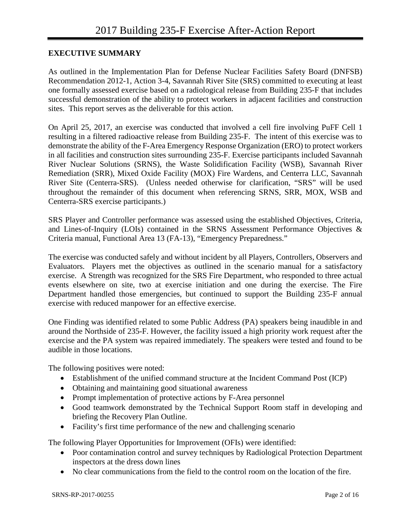#### **EXECUTIVE SUMMARY**

As outlined in the Implementation Plan for Defense Nuclear Facilities Safety Board (DNFSB) Recommendation 2012-1, Action 3-4, Savannah River Site (SRS) committed to executing at least one formally assessed exercise based on a radiological release from Building 235-F that includes successful demonstration of the ability to protect workers in adjacent facilities and construction sites. This report serves as the deliverable for this action.

On April 25, 2017, an exercise was conducted that involved a cell fire involving PuFF Cell 1 resulting in a filtered radioactive release from Building 235-F. The intent of this exercise was to demonstrate the ability of the F-Area Emergency Response Organization (ERO) to protect workers in all facilities and construction sites surrounding 235-F. Exercise participants included Savannah River Nuclear Solutions (SRNS), the Waste Solidification Facility (WSB), Savannah River Remediation (SRR), Mixed Oxide Facility (MOX) Fire Wardens, and Centerra LLC, Savannah River Site (Centerra-SRS). (Unless needed otherwise for clarification, "SRS" will be used throughout the remainder of this document when referencing SRNS, SRR, MOX, WSB and Centerra-SRS exercise participants.)

SRS Player and Controller performance was assessed using the established Objectives, Criteria, and Lines-of-Inquiry (LOIs) contained in the SRNS Assessment Performance Objectives & Criteria manual, Functional Area 13 (FA-13), "Emergency Preparedness."

The exercise was conducted safely and without incident by all Players, Controllers, Observers and Evaluators. Players met the objectives as outlined in the scenario manual for a satisfactory exercise. A Strength was recognized for the SRS Fire Department, who responded to three actual events elsewhere on site, two at exercise initiation and one during the exercise. The Fire Department handled those emergencies, but continued to support the Building 235-F annual exercise with reduced manpower for an effective exercise.

One Finding was identified related to some Public Address (PA) speakers being inaudible in and around the Northside of 235-F. However, the facility issued a high priority work request after the exercise and the PA system was repaired immediately. The speakers were tested and found to be audible in those locations.

The following positives were noted:

- Establishment of the unified command structure at the Incident Command Post (ICP)
- Obtaining and maintaining good situational awareness
- Prompt implementation of protective actions by F-Area personnel
- Good teamwork demonstrated by the Technical Support Room staff in developing and briefing the Recovery Plan Outline.
- Facility's first time performance of the new and challenging scenario

The following Player Opportunities for Improvement (OFIs) were identified:

- Poor contamination control and survey techniques by Radiological Protection Department inspectors at the dress down lines
- No clear communications from the field to the control room on the location of the fire.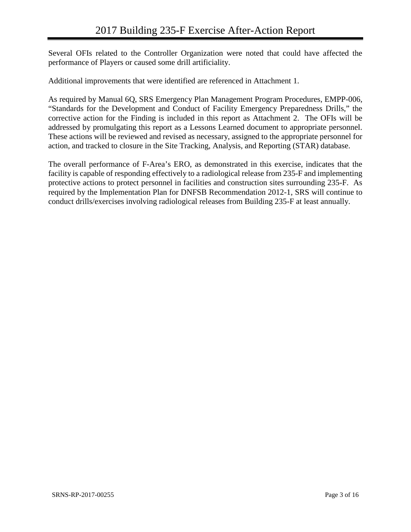Several OFIs related to the Controller Organization were noted that could have affected the performance of Players or caused some drill artificiality.

Additional improvements that were identified are referenced in Attachment 1.

As required by Manual 6Q, SRS Emergency Plan Management Program Procedures, EMPP-006, "Standards for the Development and Conduct of Facility Emergency Preparedness Drills," the corrective action for the Finding is included in this report as Attachment 2. The OFIs will be addressed by promulgating this report as a Lessons Learned document to appropriate personnel. These actions will be reviewed and revised as necessary, assigned to the appropriate personnel for action, and tracked to closure in the Site Tracking, Analysis, and Reporting (STAR) database.

The overall performance of F-Area's ERO, as demonstrated in this exercise, indicates that the facility is capable of responding effectively to a radiological release from 235-F and implementing protective actions to protect personnel in facilities and construction sites surrounding 235-F. As required by the Implementation Plan for DNFSB Recommendation 2012-1, SRS will continue to conduct drills/exercises involving radiological releases from Building 235-F at least annually.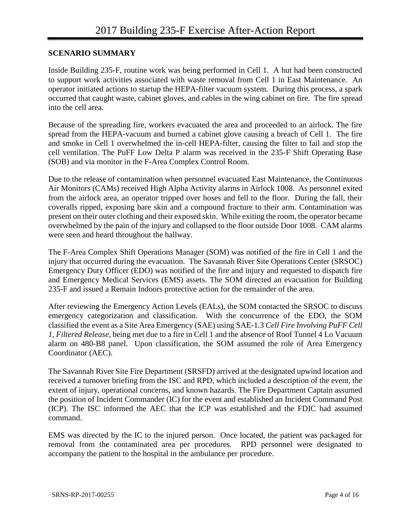#### **SCENARIO SUMMARY**

Inside Building 235-F, routine work was being performed in Cell 1. A hut had been constructed to support work activities associated with waste removal from Cell 1 in East Maintenance. An operator initiated actions to startup the HEPA-filter vacuum system. During this process, a spark occurred that caught waste, cabinet gloves, and cables in the wing cabinet on fire. The fire spread into the cell area.

Because of the spreading fire, workers evacuated the area and proceeded to an airlock. The fire spread from the HEPA-vacuum and burned a cabinet glove causing a breach of Cell 1. The fire and smoke in Cell 1 overwhelmed the in-cell HEPA-filter, causing the filter to fail and stop the cell ventilation. The PuFF Low Delta P alarm was received in the 235-F Shift Operating Base (SOB) and via monitor in the F-Area Complex Control Room.

Due to the release of contamination when personnel evacuated East Maintenance, the Continuous Air Monitors (CAMs) received High Alpha Activity alarms in Airlock 1008. As personnel exited from the airlock area, an operator tripped over hoses and fell to the floor. During the fall, their coveralls ripped, exposing bare skin and a compound fracture to their arm. Contamination was present on their outer clothing and their exposed skin. While exiting the room, the operator became overwhelmed by the pain of the injury and collapsed to the floor outside Door 1008. CAM alarms were seen and heard throughout the hallway.

The F-Area Complex Shift Operations Manager (SOM) was notified of the fire in Cell 1 and the injury that occurred during the evacuation. The Savannah River Site Operations Center (SRSOC) Emergency Duty Officer (EDO) was notified of the fire and injury and requested to dispatch fire and Emergency Medical Services (EMS) assets. The SOM directed an evacuation for Building 235-F and issued a Remain Indoors protective action for the remainder of the area.

After reviewing the Emergency Action Levels (EALs), the SOM contacted the SRSOC to discuss emergency categorization and classification. With the concurrence of the EDO, the SOM classified the event as a Site Area Emergency (SAE) using SAE-1.3 *Cell Fire Involving PuFF Cell 1, Filtered Release*, being met due to a fire in Cell 1 and the absence of Roof Tunnel 4 Lo Vacuum alarm on 480-B8 panel. Upon classification, the SOM assumed the role of Area Emergency Coordinator (AEC).

The Savannah River Site Fire Department (SRSFD) arrived at the designated upwind location and received a turnover briefing from the ISC and RPD, which included a description of the event, the extent of injury, operational concerns, and known hazards. The Fire Department Captain assumed the position of Incident Commander (IC) for the event and established an Incident Command Post (ICP). The ISC informed the AEC that the ICP was established and the FDIC had assumed command.

EMS was directed by the IC to the injured person. Once located, the patient was packaged for removal from the contaminated area per procedures*.* RPD personnel were designated to accompany the patient to the hospital in the ambulance per procedure.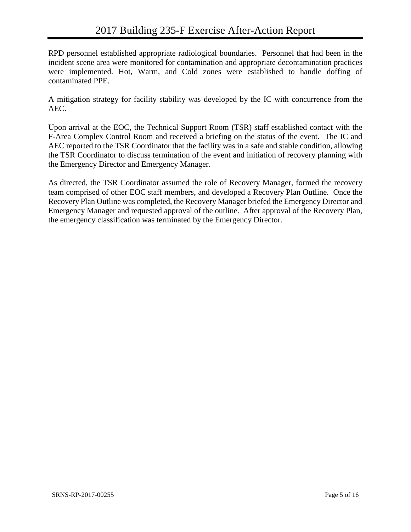RPD personnel established appropriate radiological boundaries. Personnel that had been in the incident scene area were monitored for contamination and appropriate decontamination practices were implemented. Hot, Warm, and Cold zones were established to handle doffing of contaminated PPE.

A mitigation strategy for facility stability was developed by the IC with concurrence from the AEC.

Upon arrival at the EOC, the Technical Support Room (TSR) staff established contact with the F-Area Complex Control Room and received a briefing on the status of the event. The IC and AEC reported to the TSR Coordinator that the facility was in a safe and stable condition, allowing the TSR Coordinator to discuss termination of the event and initiation of recovery planning with the Emergency Director and Emergency Manager.

As directed, the TSR Coordinator assumed the role of Recovery Manager, formed the recovery team comprised of other EOC staff members, and developed a Recovery Plan Outline. Once the Recovery Plan Outline was completed, the Recovery Manager briefed the Emergency Director and Emergency Manager and requested approval of the outline. After approval of the Recovery Plan, the emergency classification was terminated by the Emergency Director.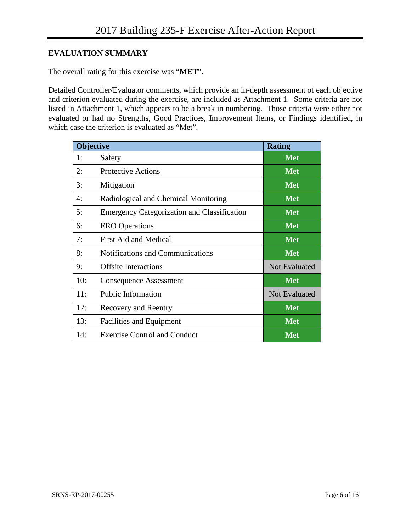### **EVALUATION SUMMARY**

The overall rating for this exercise was "**MET**".

Detailed Controller/Evaluator comments, which provide an in-depth assessment of each objective and criterion evaluated during the exercise, are included as Attachment 1. Some criteria are not listed in Attachment 1, which appears to be a break in numbering. Those criteria were either not evaluated or had no Strengths, Good Practices, Improvement Items, or Findings identified, in which case the criterion is evaluated as "Met".

| <b>Objective</b> |                                                    | <b>Rating</b>        |
|------------------|----------------------------------------------------|----------------------|
| 1:               | Safety                                             | <b>Met</b>           |
| 2:               | <b>Protective Actions</b>                          | <b>Met</b>           |
| 3:               | Mitigation                                         | <b>Met</b>           |
| 4:               | Radiological and Chemical Monitoring               | <b>Met</b>           |
| 5:               | <b>Emergency Categorization and Classification</b> | <b>Met</b>           |
| 6:               | <b>ERO</b> Operations                              | <b>Met</b>           |
| 7:               | <b>First Aid and Medical</b>                       | <b>Met</b>           |
| 8:               | <b>Notifications and Communications</b>            | <b>Met</b>           |
| 9:               | <b>Offsite Interactions</b>                        | <b>Not Evaluated</b> |
| 10:              | <b>Consequence Assessment</b>                      | <b>Met</b>           |
| 11:              | <b>Public Information</b>                          | <b>Not Evaluated</b> |
| 12:              | <b>Recovery and Reentry</b>                        | <b>Met</b>           |
| 13:              | Facilities and Equipment                           | <b>Met</b>           |
| 14:              | <b>Exercise Control and Conduct</b>                | <b>Met</b>           |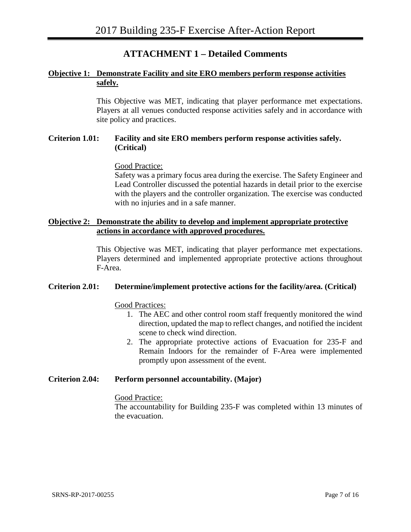# **ATTACHMENT 1 – Detailed Comments**

#### <span id="page-22-0"></span>**Objective 1: Demonstrate Facility and site ERO members perform response activities safely.**

This Objective was MET, indicating that player performance met expectations. Players at all venues conducted response activities safely and in accordance with site policy and practices.

#### **Criterion 1.01: Facility and site ERO members perform response activities safely. (Critical)**

#### Good Practice:

Safety was a primary focus area during the exercise. The Safety Engineer and Lead Controller discussed the potential hazards in detail prior to the exercise with the players and the controller organization. The exercise was conducted with no injuries and in a safe manner.

#### **Objective 2: Demonstrate the ability to develop and implement appropriate protective actions in accordance with approved procedures.**

This Objective was MET, indicating that player performance met expectations. Players determined and implemented appropriate protective actions throughout F-Area.

#### **Criterion 2.01: Determine/implement protective actions for the facility/area. (Critical)**

Good Practices:

- 1. The AEC and other control room staff frequently monitored the wind direction, updated the map to reflect changes, and notified the incident scene to check wind direction.
- 2. The appropriate protective actions of Evacuation for 235-F and Remain Indoors for the remainder of F-Area were implemented promptly upon assessment of the event.

#### **Criterion 2.04: Perform personnel accountability. (Major)**

#### Good Practice:

The accountability for Building 235-F was completed within 13 minutes of the evacuation.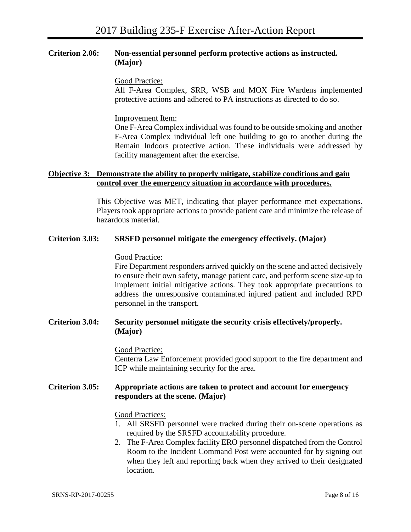#### **Criterion 2.06: Non-essential personnel perform protective actions as instructed. (Major)**

Good Practice:

All F-Area Complex, SRR, WSB and MOX Fire Wardens implemented protective actions and adhered to PA instructions as directed to do so.

Improvement Item:

One F-Area Complex individual was found to be outside smoking and another F-Area Complex individual left one building to go to another during the Remain Indoors protective action. These individuals were addressed by facility management after the exercise.

#### **Objective 3: Demonstrate the ability to properly mitigate, stabilize conditions and gain control over the emergency situation in accordance with procedures.**

This Objective was MET, indicating that player performance met expectations. Players took appropriate actions to provide patient care and minimize the release of hazardous material.

#### **Criterion 3.03: SRSFD personnel mitigate the emergency effectively. (Major)**

#### Good Practice:

Fire Department responders arrived quickly on the scene and acted decisively to ensure their own safety, manage patient care, and perform scene size-up to implement initial mitigative actions. They took appropriate precautions to address the unresponsive contaminated injured patient and included RPD personnel in the transport.

#### **Criterion 3.04: Security personnel mitigate the security crisis effectively/properly. (Major)**

#### Good Practice:

Centerra Law Enforcement provided good support to the fire department and ICP while maintaining security for the area.

#### **Criterion 3.05: Appropriate actions are taken to protect and account for emergency responders at the scene. (Major)**

#### Good Practices:

- 1. All SRSFD personnel were tracked during their on-scene operations as required by the SRSFD accountability procedure.
- 2. The F-Area Complex facility ERO personnel dispatched from the Control Room to the Incident Command Post were accounted for by signing out when they left and reporting back when they arrived to their designated location.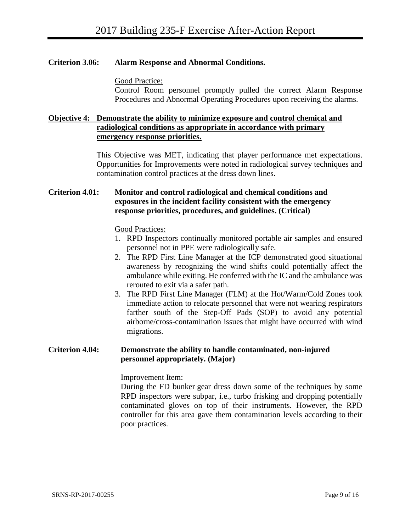#### **Criterion 3.06: Alarm Response and Abnormal Conditions.**

Good Practice:

Control Room personnel promptly pulled the correct Alarm Response Procedures and Abnormal Operating Procedures upon receiving the alarms.

#### **Objective 4: Demonstrate the ability to minimize exposure and control chemical and radiological conditions as appropriate in accordance with primary emergency response priorities.**

This Objective was MET, indicating that player performance met expectations. Opportunities for Improvements were noted in radiological survey techniques and contamination control practices at the dress down lines.

#### **Criterion 4.01: Monitor and control radiological and chemical conditions and exposures in the incident facility consistent with the emergency response priorities, procedures, and guidelines. (Critical)**

Good Practices:

- 1. RPD Inspectors continually monitored portable air samples and ensured personnel not in PPE were radiologically safe.
- 2. The RPD First Line Manager at the ICP demonstrated good situational awareness by recognizing the wind shifts could potentially affect the ambulance while exiting. He conferred with the IC and the ambulance was rerouted to exit via a safer path.
- 3. The RPD First Line Manager (FLM) at the Hot/Warm/Cold Zones took immediate action to relocate personnel that were not wearing respirators farther south of the Step-Off Pads (SOP) to avoid any potential airborne/cross-contamination issues that might have occurred with wind migrations.

#### **Criterion 4.04: Demonstrate the ability to handle contaminated, non-injured personnel appropriately. (Major)**

#### Improvement Item:

During the FD bunker gear dress down some of the techniques by some RPD inspectors were subpar, i.e., turbo frisking and dropping potentially contaminated gloves on top of their instruments. However, the RPD controller for this area gave them contamination levels according to their poor practices.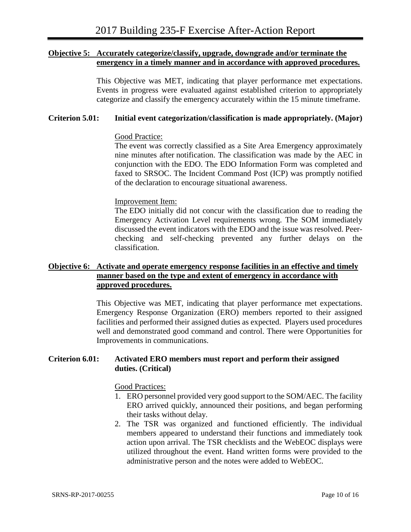#### **Objective 5: Accurately categorize/classify, upgrade, downgrade and/or terminate the emergency in a timely manner and in accordance with approved procedures.**

This Objective was MET, indicating that player performance met expectations. Events in progress were evaluated against established criterion to appropriately categorize and classify the emergency accurately within the 15 minute timeframe.

#### **Criterion 5.01: Initial event categorization/classification is made appropriately. (Major)**

#### Good Practice:

The event was correctly classified as a Site Area Emergency approximately nine minutes after notification. The classification was made by the AEC in conjunction with the EDO. The EDO Information Form was completed and faxed to SRSOC. The Incident Command Post (ICP) was promptly notified of the declaration to encourage situational awareness.

#### Improvement Item:

The EDO initially did not concur with the classification due to reading the Emergency Activation Level requirements wrong. The SOM immediately discussed the event indicators with the EDO and the issue was resolved. Peerchecking and self-checking prevented any further delays on the classification.

#### **Objective 6: Activate and operate emergency response facilities in an effective and timely manner based on the type and extent of emergency in accordance with approved procedures.**

This Objective was MET, indicating that player performance met expectations. Emergency Response Organization (ERO) members reported to their assigned facilities and performed their assigned duties as expected. Players used procedures well and demonstrated good command and control. There were Opportunities for Improvements in communications.

#### **Criterion 6.01: Activated ERO members must report and perform their assigned duties. (Critical)**

#### Good Practices:

- 1. ERO personnel provided very good support to the SOM/AEC. The facility ERO arrived quickly, announced their positions, and began performing their tasks without delay.
- 2. The TSR was organized and functioned efficiently. The individual members appeared to understand their functions and immediately took action upon arrival. The TSR checklists and the WebEOC displays were utilized throughout the event. Hand written forms were provided to the administrative person and the notes were added to WebEOC.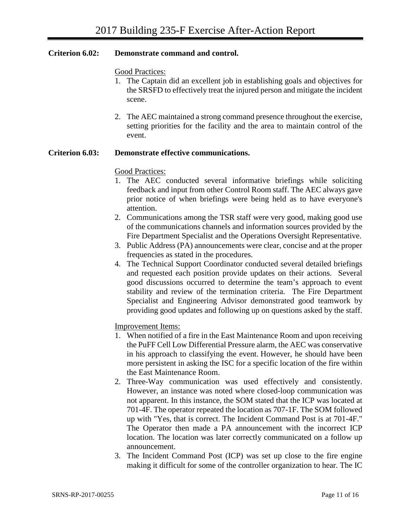#### **Criterion 6.02: Demonstrate command and control.**

#### Good Practices:

- 1. The Captain did an excellent job in establishing goals and objectives for the SRSFD to effectively treat the injured person and mitigate the incident scene.
- 2. The AEC maintained a strong command presence throughout the exercise, setting priorities for the facility and the area to maintain control of the event.

#### **Criterion 6.03: Demonstrate effective communications.**

#### Good Practices:

- 1. The AEC conducted several informative briefings while soliciting feedback and input from other Control Room staff. The AEC always gave prior notice of when briefings were being held as to have everyone's attention.
- 2. Communications among the TSR staff were very good, making good use of the communications channels and information sources provided by the Fire Department Specialist and the Operations Oversight Representative.
- 3. Public Address (PA) announcements were clear, concise and at the proper frequencies as stated in the procedures.
- 4. The Technical Support Coordinator conducted several detailed briefings and requested each position provide updates on their actions. Several good discussions occurred to determine the team's approach to event stability and review of the termination criteria. The Fire Department Specialist and Engineering Advisor demonstrated good teamwork by providing good updates and following up on questions asked by the staff.

#### Improvement Items:

- 1. When notified of a fire in the East Maintenance Room and upon receiving the PuFF Cell Low Differential Pressure alarm, the AEC was conservative in his approach to classifying the event. However, he should have been more persistent in asking the ISC for a specific location of the fire within the East Maintenance Room.
- 2. Three-Way communication was used effectively and consistently. However, an instance was noted where closed-loop communication was not apparent. In this instance, the SOM stated that the ICP was located at 701-4F. The operator repeated the location as 707-1F. The SOM followed up with "Yes, that is correct. The Incident Command Post is at 701-4F." The Operator then made a PA announcement with the incorrect ICP location. The location was later correctly communicated on a follow up announcement.
- 3. The Incident Command Post (ICP) was set up close to the fire engine making it difficult for some of the controller organization to hear. The IC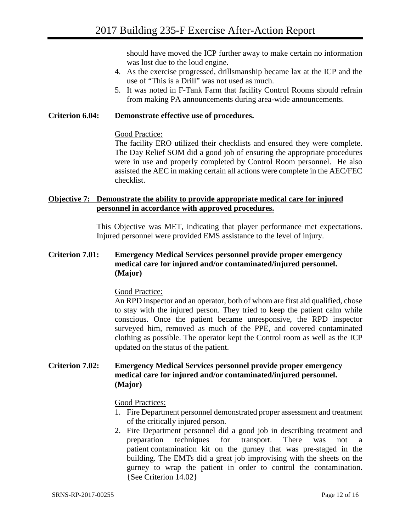should have moved the ICP further away to make certain no information was lost due to the loud engine.

- 4. As the exercise progressed, drillsmanship became lax at the ICP and the use of "This is a Drill" was not used as much.
- 5. It was noted in F-Tank Farm that facility Control Rooms should refrain from making PA announcements during area-wide announcements.

#### **Criterion 6.04: Demonstrate effective use of procedures.**

#### Good Practice:

The facility ERO utilized their checklists and ensured they were complete. The Day Relief SOM did a good job of ensuring the appropriate procedures were in use and properly completed by Control Room personnel. He also assisted the AEC in making certain all actions were complete in the AEC/FEC checklist.

#### **Objective 7: Demonstrate the ability to provide appropriate medical care for injured personnel in accordance with approved procedures.**

This Objective was MET, indicating that player performance met expectations. Injured personnel were provided EMS assistance to the level of injury.

#### **Criterion 7.01: Emergency Medical Services personnel provide proper emergency medical care for injured and/or contaminated/injured personnel. (Major)**

#### Good Practice:

An RPD inspector and an operator, both of whom are first aid qualified, chose to stay with the injured person. They tried to keep the patient calm while conscious. Once the patient became unresponsive, the RPD inspector surveyed him, removed as much of the PPE, and covered contaminated clothing as possible. The operator kept the Control room as well as the ICP updated on the status of the patient.

#### **Criterion 7.02: Emergency Medical Services personnel provide proper emergency medical care for injured and/or contaminated/injured personnel. (Major)**

#### Good Practices:

- 1. Fire Department personnel demonstrated proper assessment and treatment of the critically injured person.
- 2. Fire Department personnel did a good job in describing treatment and preparation techniques for transport. There was not a patient contamination kit on the gurney that was pre-staged in the building. The EMTs did a great job improvising with the sheets on the gurney to wrap the patient in order to control the contamination. {See Criterion 14.02}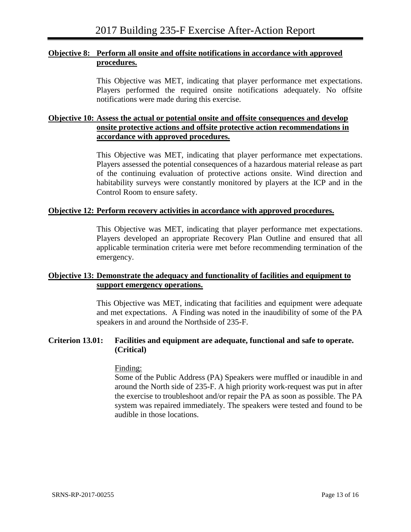#### **Objective 8: Perform all onsite and offsite notifications in accordance with approved procedures.**

This Objective was MET, indicating that player performance met expectations. Players performed the required onsite notifications adequately. No offsite notifications were made during this exercise.

#### **Objective 10: Assess the actual or potential onsite and offsite consequences and develop onsite protective actions and offsite protective action recommendations in accordance with approved procedures.**

This Objective was MET, indicating that player performance met expectations. Players assessed the potential consequences of a hazardous material release as part of the continuing evaluation of protective actions onsite. Wind direction and habitability surveys were constantly monitored by players at the ICP and in the Control Room to ensure safety.

#### **Objective 12: Perform recovery activities in accordance with approved procedures.**

This Objective was MET, indicating that player performance met expectations. Players developed an appropriate Recovery Plan Outline and ensured that all applicable termination criteria were met before recommending termination of the emergency.

#### **Objective 13: Demonstrate the adequacy and functionality of facilities and equipment to support emergency operations.**

This Objective was MET, indicating that facilities and equipment were adequate and met expectations. A Finding was noted in the inaudibility of some of the PA speakers in and around the Northside of 235-F.

#### **Criterion 13.01: Facilities and equipment are adequate, functional and safe to operate. (Critical)**

#### Finding:

Some of the Public Address (PA) Speakers were muffled or inaudible in and around the North side of 235-F. A high priority work-request was put in after the exercise to troubleshoot and/or repair the PA as soon as possible. The PA system was repaired immediately. The speakers were tested and found to be audible in those locations.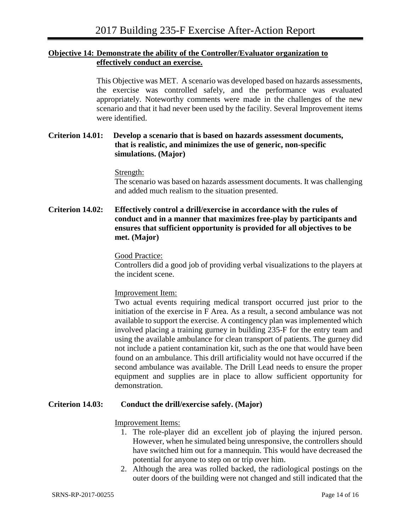#### **Objective 14: Demonstrate the ability of the Controller/Evaluator organization to effectively conduct an exercise.**

This Objective was MET. A scenario was developed based on hazards assessments, the exercise was controlled safely, and the performance was evaluated appropriately. Noteworthy comments were made in the challenges of the new scenario and that it had never been used by the facility. Several Improvement items were identified.

#### **Criterion 14.01: Develop a scenario that is based on hazards assessment documents, that is realistic, and minimizes the use of generic, non-specific simulations. (Major)**

#### Strength:

The scenario was based on hazards assessment documents. It was challenging and added much realism to the situation presented.

#### **Criterion 14.02: Effectively control a drill/exercise in accordance with the rules of conduct and in a manner that maximizes free-play by participants and ensures that sufficient opportunity is provided for all objectives to be met. (Major)**

#### Good Practice:

Controllers did a good job of providing verbal visualizations to the players at the incident scene.

#### Improvement Item:

Two actual events requiring medical transport occurred just prior to the initiation of the exercise in F Area. As a result, a second ambulance was not available to support the exercise. A contingency plan was implemented which involved placing a training gurney in building 235-F for the entry team and using the available ambulance for clean transport of patients. The gurney did not include a patient contamination kit, such as the one that would have been found on an ambulance. This drill artificiality would not have occurred if the second ambulance was available. The Drill Lead needs to ensure the proper equipment and supplies are in place to allow sufficient opportunity for demonstration.

#### **Criterion 14.03: Conduct the drill/exercise safely. (Major)**

#### Improvement Items:

- 1. The role-player did an excellent job of playing the injured person. However, when he simulated being unresponsive, the controllers should have switched him out for a mannequin. This would have decreased the potential for anyone to step on or trip over him.
- 2. Although the area was rolled backed, the radiological postings on the outer doors of the building were not changed and still indicated that the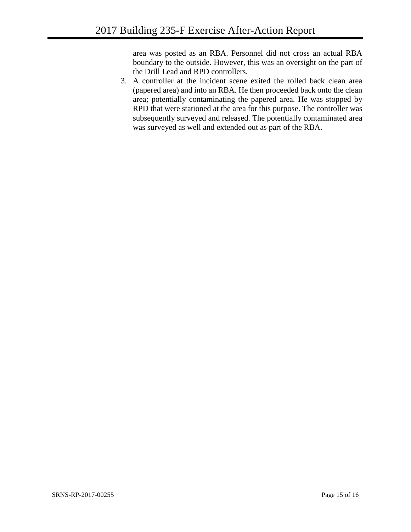area was posted as an RBA. Personnel did not cross an actual RBA boundary to the outside. However, this was an oversight on the part of the Drill Lead and RPD controllers.

3. A controller at the incident scene exited the rolled back clean area (papered area) and into an RBA. He then proceeded back onto the clean area; potentially contaminating the papered area. He was stopped by RPD that were stationed at the area for this purpose. The controller was subsequently surveyed and released. The potentially contaminated area was surveyed as well and extended out as part of the RBA.